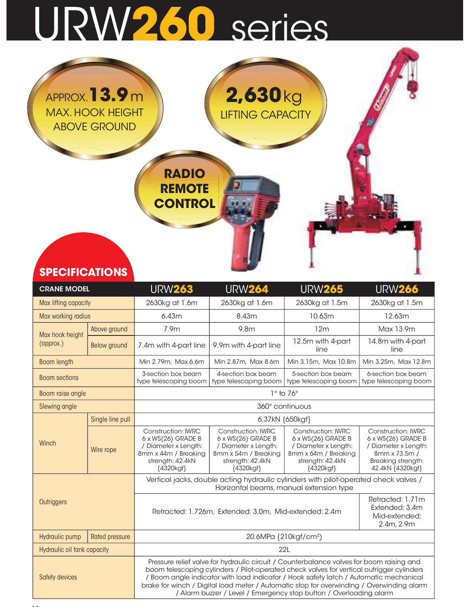## URW260 series

|                       | APPROX. <b>3.9</b> m<br><b>MAX. HOOK HEIGHT</b><br><b>ABOVE GROUND</b> | <b>RADIO</b><br><b>REMOTE</b><br><b>CONTROL</b> | $2,630$ kg<br><b>LIFTING CAPACITY</b> |                |                |
|-----------------------|------------------------------------------------------------------------|-------------------------------------------------|---------------------------------------|----------------|----------------|
| <b>SPECIFICATIONS</b> |                                                                        |                                                 |                                       |                |                |
|                       |                                                                        |                                                 |                                       |                |                |
| <b>CRANE MODEL</b>    |                                                                        | <b>URW263</b>                                   | <b>URW264</b>                         | <b>URW265</b>  | <b>URW266</b>  |
| Max lifting capacity  |                                                                        | 2630kg at 1.6m                                  | 2630kg at 1.6m                        | 2630kg at 1.5m | 2630kg at 1.5m |
| Max working radius    |                                                                        | 6.43m                                           | 8.43m                                 | 10.63m         | 12.63m         |

| <b>SPECIFICATIONS</b>       |                       |                                                                                                                                  |                                                                                                                                  |                                                                                                                                                                                                                                                                                                                                                                                                                                                   |                                                                                                                                    |
|-----------------------------|-----------------------|----------------------------------------------------------------------------------------------------------------------------------|----------------------------------------------------------------------------------------------------------------------------------|---------------------------------------------------------------------------------------------------------------------------------------------------------------------------------------------------------------------------------------------------------------------------------------------------------------------------------------------------------------------------------------------------------------------------------------------------|------------------------------------------------------------------------------------------------------------------------------------|
| <b>CRANE MODEL</b>          |                       | <b>URW263</b>                                                                                                                    | <b>URW264</b>                                                                                                                    | <b>URW265</b>                                                                                                                                                                                                                                                                                                                                                                                                                                     | <b>URW266</b>                                                                                                                      |
| Max lifting capacity        |                       | 2630kg at 1.6m                                                                                                                   | 2630kg at 1.6m                                                                                                                   | 2630kg at 1.5m                                                                                                                                                                                                                                                                                                                                                                                                                                    | 2630kg at 1.5m                                                                                                                     |
| Max working radius          |                       | 6.43m                                                                                                                            | 8.43m                                                                                                                            | 10.63m                                                                                                                                                                                                                                                                                                                                                                                                                                            | 12.63m                                                                                                                             |
| Max hook height             | Above ground          | 7.9m                                                                                                                             | 9.8 <sub>m</sub>                                                                                                                 | 12 <sub>m</sub>                                                                                                                                                                                                                                                                                                                                                                                                                                   | Max 13.9m                                                                                                                          |
| (approx.)                   | Below ground          | 7.4m with 4-part line                                                                                                            | 9.9m with 4-part line                                                                                                            | 12.5m with 4-part<br>line                                                                                                                                                                                                                                                                                                                                                                                                                         | 14.8m with 4-part<br>line                                                                                                          |
| Boom length                 |                       | Min 2.79m, Max 6.6m                                                                                                              | Min 2.87m, Max 8.6m                                                                                                              | Min 3.15m, Max 10.8m                                                                                                                                                                                                                                                                                                                                                                                                                              | Min 3.25m, Max 12.8m                                                                                                               |
| <b>Boom sections</b>        |                       | 3-section box beam<br>type telescoping boom                                                                                      | 4-section box beam<br>type telescoping boom                                                                                      | 5-section box beam<br>type telescoping boom                                                                                                                                                                                                                                                                                                                                                                                                       | 6-section box beam<br>type telescoping boom                                                                                        |
| Boom raise angle            |                       |                                                                                                                                  |                                                                                                                                  | $1°$ to $76°$                                                                                                                                                                                                                                                                                                                                                                                                                                     |                                                                                                                                    |
| Slewing angle               |                       |                                                                                                                                  |                                                                                                                                  | 360° continuous                                                                                                                                                                                                                                                                                                                                                                                                                                   |                                                                                                                                    |
|                             | Single line pull      |                                                                                                                                  | 6.37kN {650kgf}                                                                                                                  |                                                                                                                                                                                                                                                                                                                                                                                                                                                   |                                                                                                                                    |
| Winch                       | Wire rope             | <b>Construction: IWRC</b><br>6 x WS(26) GRADE B<br>/ Diameter x Length:<br>8mm x 44m / Breaking<br>strength: 42.4kN<br>{4320kgf} | <b>Construction: IWRC</b><br>6 x WS(26) GRADE B<br>/ Diameter x Length:<br>8mm x 54m / Breaking<br>strength: 42.4kN<br>{4320kgf} | <b>Construction: IWRC</b><br>6 x WS(26) GRADE B<br>/ Diameter x Length:<br>8mm x 64m / Breaking<br>strength: 42.4kN<br>{4320kgf}                                                                                                                                                                                                                                                                                                                  | <b>Construction: IWRC</b><br>6 x WS(26) GRADE B<br>/ Diameter x Length:<br>8mm x 73.5m /<br>Breaking strength:<br>42.4kN {4320kgf} |
|                             |                       |                                                                                                                                  |                                                                                                                                  | Vertical jacks, double acting hydraulic cylinders with pilot-operated check valves /<br>Horizontal beams, manual extension type                                                                                                                                                                                                                                                                                                                   |                                                                                                                                    |
| Outriggers                  |                       |                                                                                                                                  | Retracted: 1.726m, Extended: 3.0m, Mid-extended: 2.4m                                                                            |                                                                                                                                                                                                                                                                                                                                                                                                                                                   | Retracted: 1.71m<br>Extended: 3.4m<br>Mid-extended:<br>2.4m, 2.9m                                                                  |
| Hydraulic pump              | <b>Rated pressure</b> |                                                                                                                                  |                                                                                                                                  | 20.6MPa {210kgf/cm <sup>2</sup> )                                                                                                                                                                                                                                                                                                                                                                                                                 |                                                                                                                                    |
| Hydraulic oil tank capacity |                       |                                                                                                                                  |                                                                                                                                  | 22L                                                                                                                                                                                                                                                                                                                                                                                                                                               |                                                                                                                                    |
| Safety devices              |                       |                                                                                                                                  |                                                                                                                                  | Pressure relief valve for hydraulic circuit / Counterbalance valves for boom raising and<br>boom telescoping cylinders / Pilot-operated check valves for vertical outrigger cylinders<br>/ Boom angle indicator with load indicator / Hook safety latch / Automatic mechanical<br>brake for winch / Digital load meter / Automatic stop for overwinding / Overwinding alarm<br>/ Alarm buzzer / Level / Emergency stop button / Overloading alarm |                                                                                                                                    |